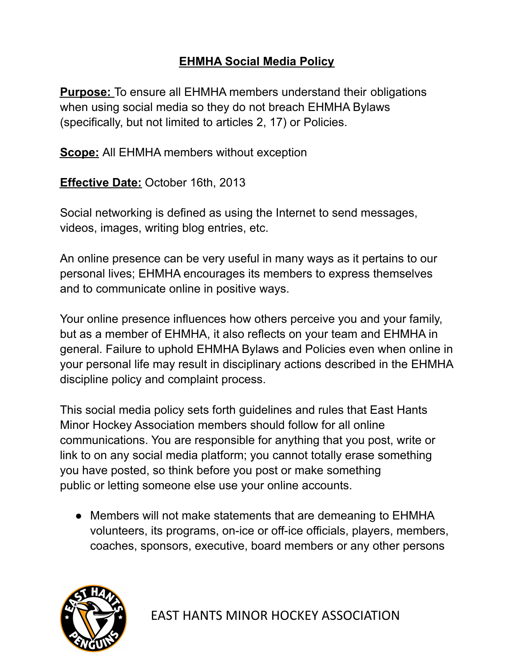## **EHMHA Social Media Policy**

**Purpose:** To ensure all EHMHA members understand their obligations when using social media so they do not breach EHMHA Bylaws (specifically, but not limited to articles 2, 17) or Policies.

**Scope:** All EHMHA members without exception

**Effective Date:** October 16th, 2013

Social networking is defined as using the Internet to send messages, videos, images, writing blog entries, etc.

An online presence can be very useful in many ways as it pertains to our personal lives; EHMHA encourages its members to express themselves and to communicate online in positive ways.

Your online presence influences how others perceive you and your family, but as a member of EHMHA, it also reflects on your team and EHMHA in general. Failure to uphold EHMHA Bylaws and Policies even when online in your personal life may result in disciplinary actions described in the EHMHA discipline policy and complaint process.

This social media policy sets forth guidelines and rules that East Hants Minor Hockey Association members should follow for all online communications. You are responsible for anything that you post, write or link to on any social media platform; you cannot totally erase something you have posted, so think before you post or make something public or letting someone else use your online accounts.

• Members will not make statements that are demeaning to EHMHA volunteers, its programs, on-ice or off-ice officials, players, members, coaches, sponsors, executive, board members or any other persons